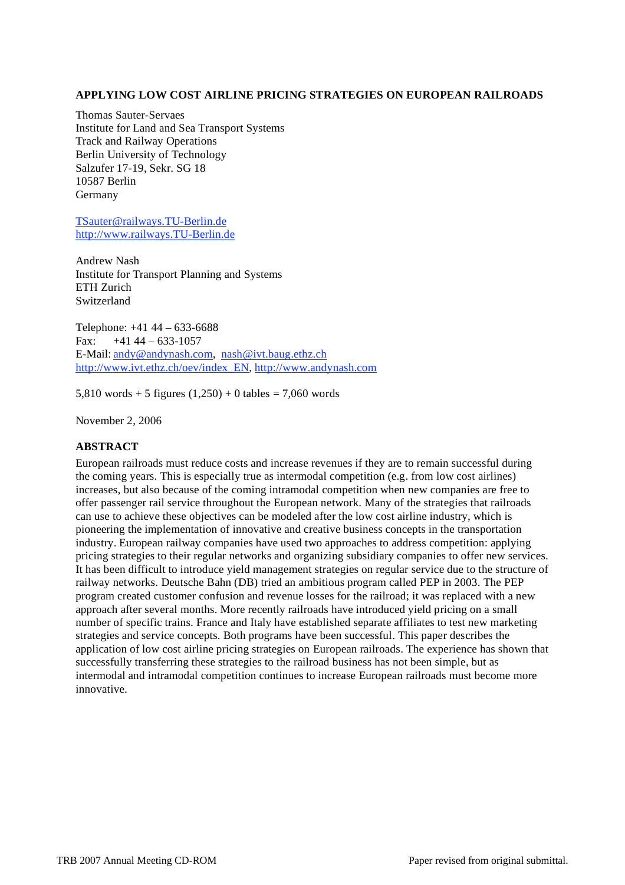# **APPLYING LOW COST AIRLINE PRICING STRATEGIES ON EUROPEAN RAILROADS**

Thomas Sauter-Servaes Institute for Land and Sea Transport Systems Track and Railway Operations Berlin University of Technology Salzufer 17-19, Sekr. SG 18 10587 Berlin Germany

TSauter@railways.TU-Berlin.de http://www.railways.TU-Berlin.de

Andrew Nash Institute for Transport Planning and Systems ETH Zurich Switzerland

Telephone: +41 44 – 633-6688 Fax:  $+4144 - 633 - 1057$ E-Mail: andy@andynash.com, nash@ivt.baug.ethz.ch http://www.ivt.ethz.ch/oev/index\_EN, http://www.andynash.com

5,810 words + 5 figures  $(1,250)$  + 0 tables = 7,060 words

November 2, 2006

# **ABSTRACT**

European railroads must reduce costs and increase revenues if they are to remain successful during the coming years. This is especially true as intermodal competition (e.g. from low cost airlines) increases, but also because of the coming intramodal competition when new companies are free to offer passenger rail service throughout the European network. Many of the strategies that railroads can use to achieve these objectives can be modeled after the low cost airline industry, which is pioneering the implementation of innovative and creative business concepts in the transportation industry. European railway companies have used two approaches to address competition: applying pricing strategies to their regular networks and organizing subsidiary companies to offer new services. It has been difficult to introduce yield management strategies on regular service due to the structure of railway networks. Deutsche Bahn (DB) tried an ambitious program called PEP in 2003. The PEP program created customer confusion and revenue losses for the railroad; it was replaced with a new approach after several months. More recently railroads have introduced yield pricing on a small number of specific trains. France and Italy have established separate affiliates to test new marketing strategies and service concepts. Both programs have been successful. This paper describes the application of low cost airline pricing strategies on European railroads. The experience has shown that successfully transferring these strategies to the railroad business has not been simple, but as intermodal and intramodal competition continues to increase European railroads must become more innovative.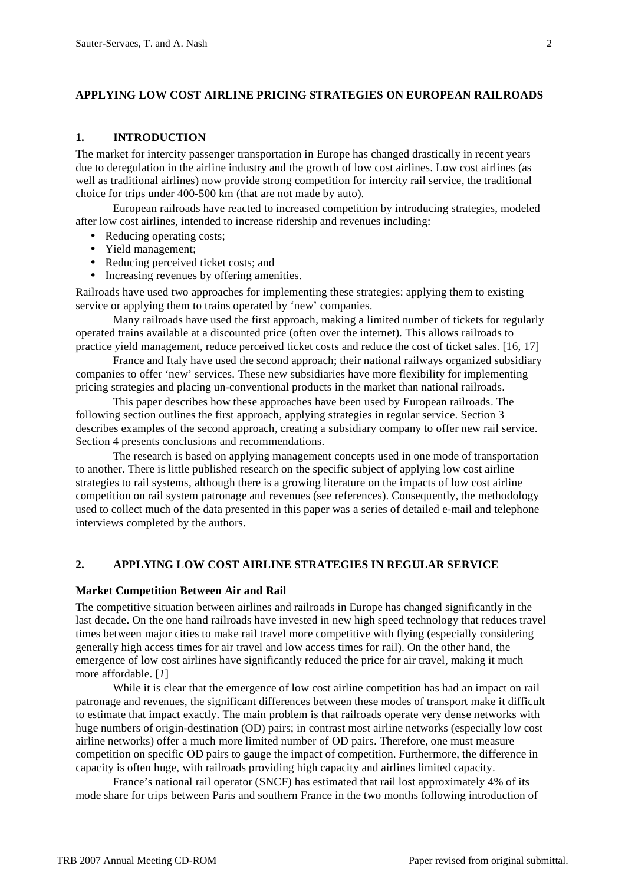### **APPLYING LOW COST AIRLINE PRICING STRATEGIES ON EUROPEAN RAILROADS**

## **1. INTRODUCTION**

The market for intercity passenger transportation in Europe has changed drastically in recent years due to deregulation in the airline industry and the growth of low cost airlines. Low cost airlines (as well as traditional airlines) now provide strong competition for intercity rail service, the traditional choice for trips under 400-500 km (that are not made by auto).

European railroads have reacted to increased competition by introducing strategies, modeled after low cost airlines, intended to increase ridership and revenues including:

- Reducing operating costs;
- Yield management;
- Reducing perceived ticket costs; and
- Increasing revenues by offering amenities.

Railroads have used two approaches for implementing these strategies: applying them to existing service or applying them to trains operated by 'new' companies.

Many railroads have used the first approach, making a limited number of tickets for regularly operated trains available at a discounted price (often over the internet). This allows railroads to practice yield management, reduce perceived ticket costs and reduce the cost of ticket sales. [16, 17]

France and Italy have used the second approach; their national railways organized subsidiary companies to offer 'new' services. These new subsidiaries have more flexibility for implementing pricing strategies and placing un-conventional products in the market than national railroads.

This paper describes how these approaches have been used by European railroads. The following section outlines the first approach, applying strategies in regular service. Section 3 describes examples of the second approach, creating a subsidiary company to offer new rail service. Section 4 presents conclusions and recommendations.

The research is based on applying management concepts used in one mode of transportation to another. There is little published research on the specific subject of applying low cost airline strategies to rail systems, although there is a growing literature on the impacts of low cost airline competition on rail system patronage and revenues (see references). Consequently, the methodology used to collect much of the data presented in this paper was a series of detailed e-mail and telephone interviews completed by the authors.

## **2. APPLYING LOW COST AIRLINE STRATEGIES IN REGULAR SERVICE**

### **Market Competition Between Air and Rail**

The competitive situation between airlines and railroads in Europe has changed significantly in the last decade. On the one hand railroads have invested in new high speed technology that reduces travel times between major cities to make rail travel more competitive with flying (especially considering generally high access times for air travel and low access times for rail). On the other hand, the emergence of low cost airlines have significantly reduced the price for air travel, making it much more affordable. [*1*]

While it is clear that the emergence of low cost airline competition has had an impact on rail patronage and revenues, the significant differences between these modes of transport make it difficult to estimate that impact exactly. The main problem is that railroads operate very dense networks with huge numbers of origin-destination (OD) pairs; in contrast most airline networks (especially low cost airline networks) offer a much more limited number of OD pairs. Therefore, one must measure competition on specific OD pairs to gauge the impact of competition. Furthermore, the difference in capacity is often huge, with railroads providing high capacity and airlines limited capacity.

France's national rail operator (SNCF) has estimated that rail lost approximately 4% of its mode share for trips between Paris and southern France in the two months following introduction of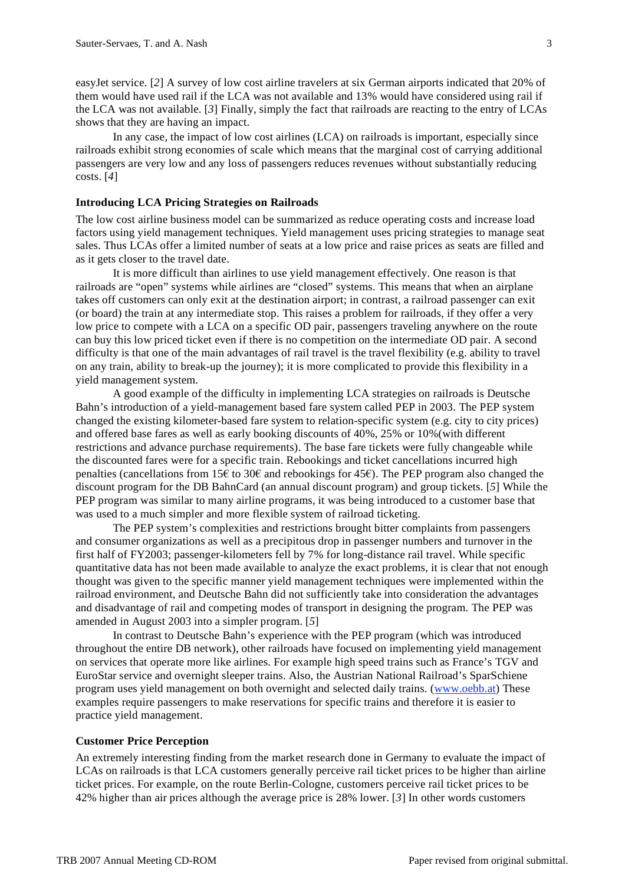easyJet service. [*2*] A survey of low cost airline travelers at six German airports indicated that 20% of them would have used rail if the LCA was not available and 13% would have considered using rail if the LCA was not available. [*3*] Finally, simply the fact that railroads are reacting to the entry of LCAs shows that they are having an impact.

In any case, the impact of low cost airlines (LCA) on railroads is important, especially since railroads exhibit strong economies of scale which means that the marginal cost of carrying additional passengers are very low and any loss of passengers reduces revenues without substantially reducing costs. [*4*]

### **Introducing LCA Pricing Strategies on Railroads**

The low cost airline business model can be summarized as reduce operating costs and increase load factors using yield management techniques. Yield management uses pricing strategies to manage seat sales. Thus LCAs offer a limited number of seats at a low price and raise prices as seats are filled and as it gets closer to the travel date.

It is more difficult than airlines to use yield management effectively. One reason is that railroads are "open" systems while airlines are "closed" systems. This means that when an airplane takes off customers can only exit at the destination airport; in contrast, a railroad passenger can exit (or board) the train at any intermediate stop. This raises a problem for railroads, if they offer a very low price to compete with a LCA on a specific OD pair, passengers traveling anywhere on the route can buy this low priced ticket even if there is no competition on the intermediate OD pair. A second difficulty is that one of the main advantages of rail travel is the travel flexibility (e.g. ability to travel on any train, ability to break-up the journey); it is more complicated to provide this flexibility in a yield management system.

A good example of the difficulty in implementing LCA strategies on railroads is Deutsche Bahn's introduction of a yield-management based fare system called PEP in 2003. The PEP system changed the existing kilometer-based fare system to relation-specific system (e.g. city to city prices) and offered base fares as well as early booking discounts of 40%, 25% or 10%(with different restrictions and advance purchase requirements). The base fare tickets were fully changeable while the discounted fares were for a specific train. Rebookings and ticket cancellations incurred high penalties (cancellations from 15€ to 30€ and rebookings for 45€). The PEP program also changed the discount program for the DB BahnCard (an annual discount program) and group tickets. [*5*] While the PEP program was similar to many airline programs, it was being introduced to a customer base that was used to a much simpler and more flexible system of railroad ticketing.

The PEP system's complexities and restrictions brought bitter complaints from passengers and consumer organizations as well as a precipitous drop in passenger numbers and turnover in the first half of FY2003; passenger-kilometers fell by 7% for long-distance rail travel. While specific quantitative data has not been made available to analyze the exact problems, it is clear that not enough thought was given to the specific manner yield management techniques were implemented within the railroad environment, and Deutsche Bahn did not sufficiently take into consideration the advantages and disadvantage of rail and competing modes of transport in designing the program. The PEP was amended in August 2003 into a simpler program. [*5*]

In contrast to Deutsche Bahn's experience with the PEP program (which was introduced throughout the entire DB network), other railroads have focused on implementing yield management on services that operate more like airlines. For example high speed trains such as France's TGV and EuroStar service and overnight sleeper trains. Also, the Austrian National Railroad's SparSchiene program uses yield management on both overnight and selected daily trains. (www.oebb.at) These examples require passengers to make reservations for specific trains and therefore it is easier to practice yield management.

# **Customer Price Perception**

An extremely interesting finding from the market research done in Germany to evaluate the impact of LCAs on railroads is that LCA customers generally perceive rail ticket prices to be higher than airline ticket prices. For example, on the route Berlin-Cologne, customers perceive rail ticket prices to be 42% higher than air prices although the average price is 28% lower. [*3*] In other words customers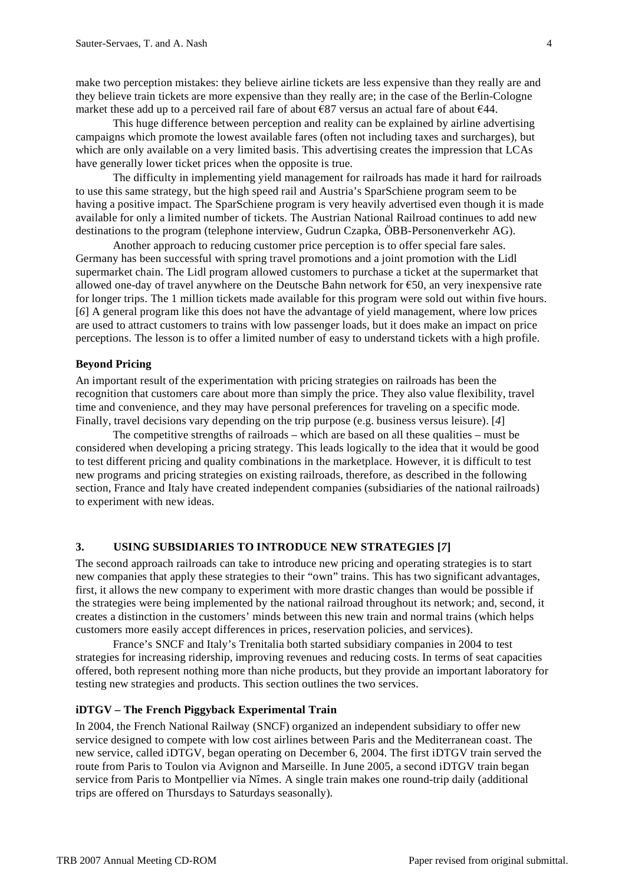make two perception mistakes: they believe airline tickets are less expensive than they really are and they believe train tickets are more expensive than they really are; in the case of the Berlin-Cologne market these add up to a perceived rail fare of about €87 versus an actual fare of about €44.

This huge difference between perception and reality can be explained by airline advertising campaigns which promote the lowest available fares (often not including taxes and surcharges), but which are only available on a very limited basis. This advertising creates the impression that LCAs have generally lower ticket prices when the opposite is true.

The difficulty in implementing yield management for railroads has made it hard for railroads to use this same strategy, but the high speed rail and Austria's SparSchiene program seem to be having a positive impact. The SparSchiene program is very heavily advertised even though it is made available for only a limited number of tickets. The Austrian National Railroad continues to add new destinations to the program (telephone interview, Gudrun Czapka, ÖBB-Personenverkehr AG).

Another approach to reducing customer price perception is to offer special fare sales. Germany has been successful with spring travel promotions and a joint promotion with the Lidl supermarket chain. The Lidl program allowed customers to purchase a ticket at the supermarket that allowed one-day of travel anywhere on the Deutsche Bahn network for  $\epsilon$ 50, an very inexpensive rate for longer trips. The 1 million tickets made available for this program were sold out within five hours. [*6*] A general program like this does not have the advantage of yield management, where low prices are used to attract customers to trains with low passenger loads, but it does make an impact on price perceptions. The lesson is to offer a limited number of easy to understand tickets with a high profile.

## **Beyond Pricing**

An important result of the experimentation with pricing strategies on railroads has been the recognition that customers care about more than simply the price. They also value flexibility, travel time and convenience, and they may have personal preferences for traveling on a specific mode. Finally, travel decisions vary depending on the trip purpose (e.g. business versus leisure). [*4*]

The competitive strengths of railroads – which are based on all these qualities – must be considered when developing a pricing strategy. This leads logically to the idea that it would be good to test different pricing and quality combinations in the marketplace. However, it is difficult to test new programs and pricing strategies on existing railroads, therefore, as described in the following section, France and Italy have created independent companies (subsidiaries of the national railroads) to experiment with new ideas.

# **3. USING SUBSIDIARIES TO INTRODUCE NEW STRATEGIES [***7***]**

The second approach railroads can take to introduce new pricing and operating strategies is to start new companies that apply these strategies to their "own" trains. This has two significant advantages, first, it allows the new company to experiment with more drastic changes than would be possible if the strategies were being implemented by the national railroad throughout its network; and, second, it creates a distinction in the customers' minds between this new train and normal trains (which helps customers more easily accept differences in prices, reservation policies, and services).

France's SNCF and Italy's Trenitalia both started subsidiary companies in 2004 to test strategies for increasing ridership, improving revenues and reducing costs. In terms of seat capacities offered, both represent nothing more than niche products, but they provide an important laboratory for testing new strategies and products. This section outlines the two services.

## **iDTGV – The French Piggyback Experimental Train**

In 2004, the French National Railway (SNCF) organized an independent subsidiary to offer new service designed to compete with low cost airlines between Paris and the Mediterranean coast. The new service, called iDTGV, began operating on December 6, 2004. The first iDTGV train served the route from Paris to Toulon via Avignon and Marseille. In June 2005, a second iDTGV train began service from Paris to Montpellier via Nîmes. A single train makes one round-trip daily (additional trips are offered on Thursdays to Saturdays seasonally).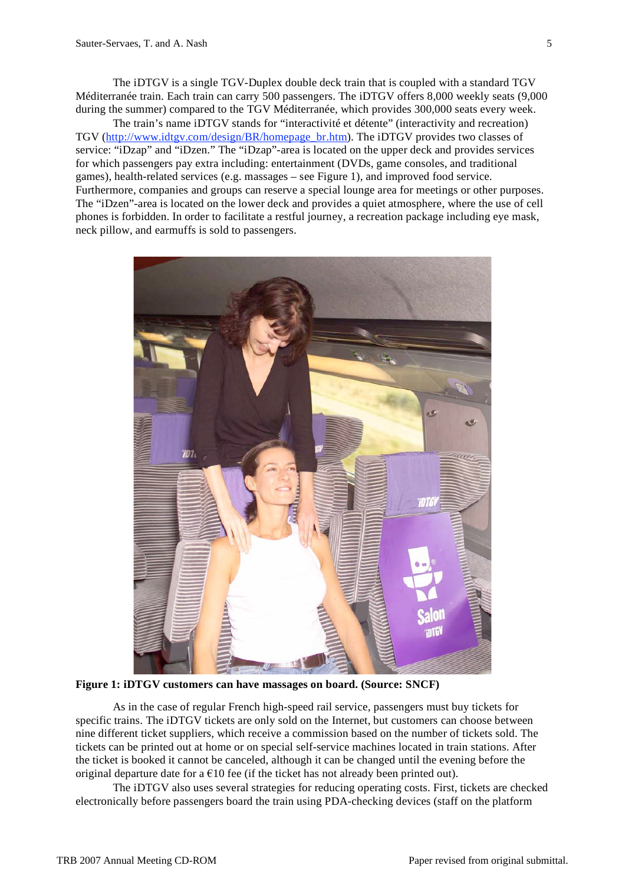The iDTGV is a single TGV-Duplex double deck train that is coupled with a standard TGV Méditerranée train. Each train can carry 500 passengers. The iDTGV offers 8,000 weekly seats (9,000 during the summer) compared to the TGV Méditerranée, which provides 300,000 seats every week.

The train's name iDTGV stands for "interactivité et détente" (interactivity and recreation) TGV (http://www.idtgv.com/design/BR/homepage\_br.htm). The iDTGV provides two classes of service: "iDzap" and "iDzen." The "iDzap"-area is located on the upper deck and provides services for which passengers pay extra including: entertainment (DVDs, game consoles, and traditional games), health-related services (e.g. massages – see Figure 1), and improved food service. Furthermore, companies and groups can reserve a special lounge area for meetings or other purposes. The "iDzen"-area is located on the lower deck and provides a quiet atmosphere, where the use of cell phones is forbidden. In order to facilitate a restful journey, a recreation package including eye mask, neck pillow, and earmuffs is sold to passengers.



**Figure 1: iDTGV customers can have massages on board. (Source: SNCF)**

As in the case of regular French high-speed rail service, passengers must buy tickets for specific trains. The iDTGV tickets are only sold on the Internet, but customers can choose between nine different ticket suppliers, which receive a commission based on the number of tickets sold. The tickets can be printed out at home or on special self-service machines located in train stations. After the ticket is booked it cannot be canceled, although it can be changed until the evening before the original departure date for a  $\epsilon$ 10 fee (if the ticket has not already been printed out).

The iDTGV also uses several strategies for reducing operating costs. First, tickets are checked electronically before passengers board the train using PDA-checking devices (staff on the platform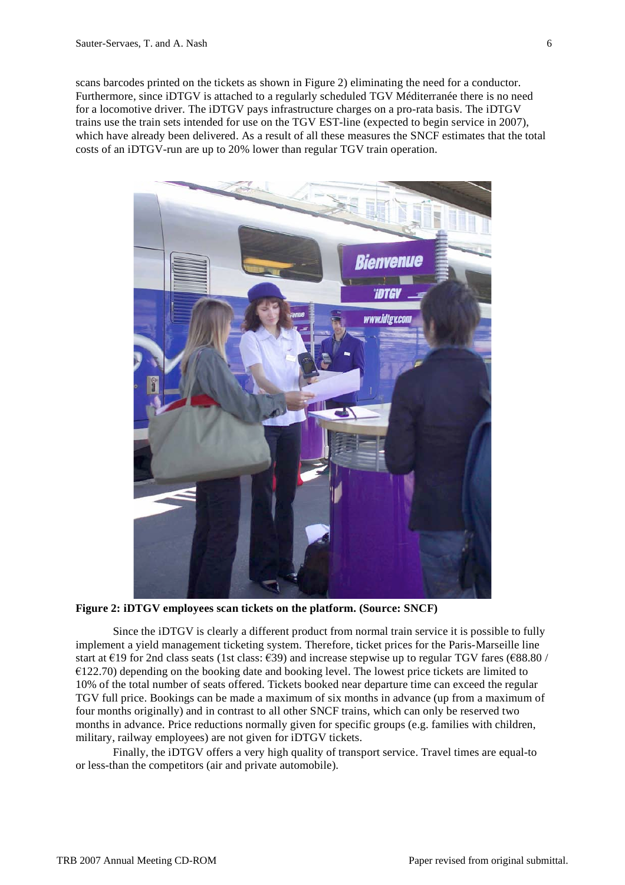scans barcodes printed on the tickets as shown in Figure 2) eliminating the need for a conductor. Furthermore, since iDTGV is attached to a regularly scheduled TGV Méditerranée there is no need for a locomotive driver. The iDTGV pays infrastructure charges on a pro-rata basis. The iDTGV trains use the train sets intended for use on the TGV EST-line (expected to begin service in 2007), which have already been delivered. As a result of all these measures the SNCF estimates that the total costs of an iDTGV-run are up to 20% lower than regular TGV train operation.



**Figure 2: iDTGV employees scan tickets on the platform. (Source: SNCF)**

Since the iDTGV is clearly a different product from normal train service it is possible to fully implement a yield management ticketing system. Therefore, ticket prices for the Paris-Marseille line start at  $\epsilon$ 19 for 2nd class seats (1st class:  $\epsilon$ 39) and increase stepwise up to regular TGV fares ( $\epsilon$ 88.80 / €122.70) depending on the booking date and booking level. The lowest price tickets are limited to 10% of the total number of seats offered. Tickets booked near departure time can exceed the regular TGV full price. Bookings can be made a maximum of six months in advance (up from a maximum of four months originally) and in contrast to all other SNCF trains, which can only be reserved two months in advance. Price reductions normally given for specific groups (e.g. families with children, military, railway employees) are not given for iDTGV tickets.

Finally, the iDTGV offers a very high quality of transport service. Travel times are equal-to or less-than the competitors (air and private automobile).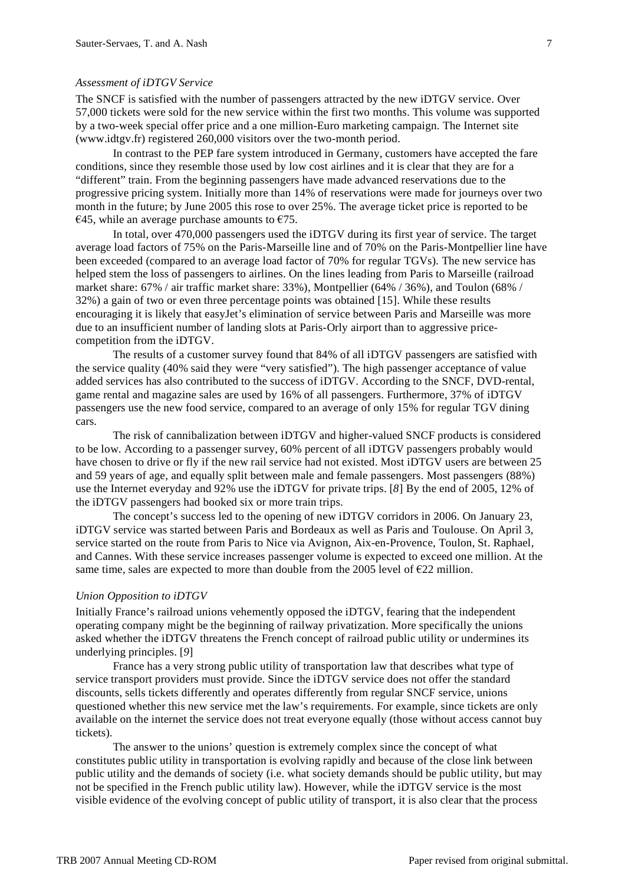### *Assessment of iDTGV Service*

The SNCF is satisfied with the number of passengers attracted by the new iDTGV service. Over 57,000 tickets were sold for the new service within the first two months. This volume was supported by a two-week special offer price and a one million-Euro marketing campaign. The Internet site (www.idtgv.fr) registered 260,000 visitors over the two-month period.

In contrast to the PEP fare system introduced in Germany, customers have accepted the fare conditions, since they resemble those used by low cost airlines and it is clear that they are for a "different" train. From the beginning passengers have made advanced reservations due to the progressive pricing system. Initially more than 14% of reservations were made for journeys over two month in the future; by June 2005 this rose to over 25%. The average ticket price is reported to be €45, while an average purchase amounts to €75.

In total, over 470,000 passengers used the iDTGV during its first year of service. The target average load factors of 75% on the Paris-Marseille line and of 70% on the Paris-Montpellier line have been exceeded (compared to an average load factor of 70% for regular TGVs). The new service has helped stem the loss of passengers to airlines. On the lines leading from Paris to Marseille (railroad market share: 67% / air traffic market share: 33%), Montpellier (64% / 36%), and Toulon (68% / 32%) a gain of two or even three percentage points was obtained [15]. While these results encouraging it is likely that easyJet's elimination of service between Paris and Marseille was more due to an insufficient number of landing slots at Paris-Orly airport than to aggressive pricecompetition from the iDTGV.

The results of a customer survey found that 84% of all iDTGV passengers are satisfied with the service quality (40% said they were "very satisfied"). The high passenger acceptance of value added services has also contributed to the success of iDTGV. According to the SNCF, DVD-rental, game rental and magazine sales are used by 16% of all passengers. Furthermore, 37% of iDTGV passengers use the new food service, compared to an average of only 15% for regular TGV dining cars.

The risk of cannibalization between iDTGV and higher-valued SNCF products is considered to be low. According to a passenger survey, 60% percent of all iDTGV passengers probably would have chosen to drive or fly if the new rail service had not existed. Most iDTGV users are between 25 and 59 years of age, and equally split between male and female passengers. Most passengers (88%) use the Internet everyday and 92% use the iDTGV for private trips. [*8*] By the end of 2005, 12% of the iDTGV passengers had booked six or more train trips.

The concept's success led to the opening of new iDTGV corridors in 2006. On January 23, iDTGV service was started between Paris and Bordeaux as well as Paris and Toulouse. On April 3, service started on the route from Paris to Nice via Avignon, Aix-en-Provence, Toulon, St. Raphael, and Cannes. With these service increases passenger volume is expected to exceed one million. At the same time, sales are expected to more than double from the 2005 level of  $E22$  million.

#### *Union Opposition to iDTGV*

Initially France's railroad unions vehemently opposed the iDTGV, fearing that the independent operating company might be the beginning of railway privatization. More specifically the unions asked whether the iDTGV threatens the French concept of railroad public utility or undermines its underlying principles. [*9*]

France has a very strong public utility of transportation law that describes what type of service transport providers must provide. Since the iDTGV service does not offer the standard discounts, sells tickets differently and operates differently from regular SNCF service, unions questioned whether this new service met the law's requirements. For example, since tickets are only available on the internet the service does not treat everyone equally (those without access cannot buy tickets).

The answer to the unions' question is extremely complex since the concept of what constitutes public utility in transportation is evolving rapidly and because of the close link between public utility and the demands of society (i.e. what society demands should be public utility, but may not be specified in the French public utility law). However, while the iDTGV service is the most visible evidence of the evolving concept of public utility of transport, it is also clear that the process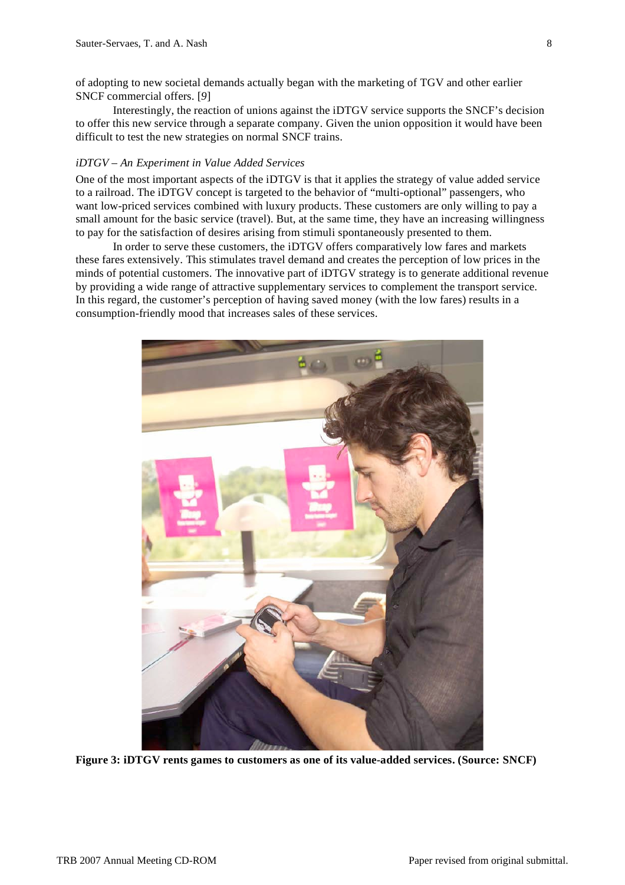of adopting to new societal demands actually began with the marketing of TGV and other earlier SNCF commercial offers. [*9*]

Interestingly, the reaction of unions against the iDTGV service supports the SNCF's decision to offer this new service through a separate company. Given the union opposition it would have been difficult to test the new strategies on normal SNCF trains.

### *iDTGV – An Experiment in Value Added Services*

One of the most important aspects of the iDTGV is that it applies the strategy of value added service to a railroad. The iDTGV concept is targeted to the behavior of "multi-optional" passengers, who want low-priced services combined with luxury products. These customers are only willing to pay a small amount for the basic service (travel). But, at the same time, they have an increasing willingness to pay for the satisfaction of desires arising from stimuli spontaneously presented to them.

In order to serve these customers, the iDTGV offers comparatively low fares and markets these fares extensively. This stimulates travel demand and creates the perception of low prices in the minds of potential customers. The innovative part of iDTGV strategy is to generate additional revenue by providing a wide range of attractive supplementary services to complement the transport service. In this regard, the customer's perception of having saved money (with the low fares) results in a consumption-friendly mood that increases sales of these services.



**Figure 3: iDTGV rents games to customers as one of its value-added services. (Source: SNCF)**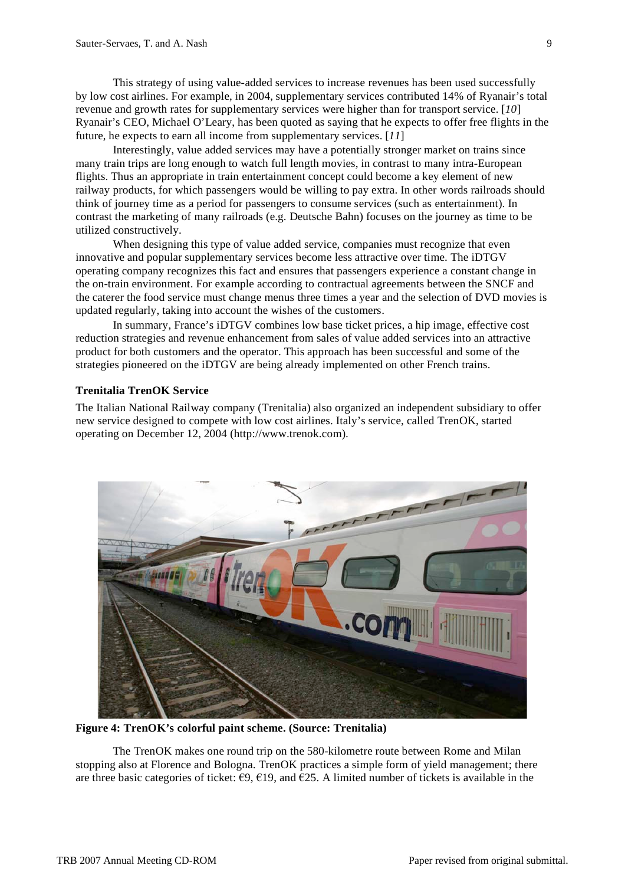This strategy of using value-added services to increase revenues has been used successfully by low cost airlines. For example, in 2004, supplementary services contributed 14% of Ryanair's total revenue and growth rates for supplementary services were higher than for transport service. [*10*] Ryanair's CEO, Michael O'Leary, has been quoted as saying that he expects to offer free flights in the future, he expects to earn all income from supplementary services. [*11*]

Interestingly, value added services may have a potentially stronger market on trains since many train trips are long enough to watch full length movies, in contrast to many intra-European flights. Thus an appropriate in train entertainment concept could become a key element of new railway products, for which passengers would be willing to pay extra. In other words railroads should think of journey time as a period for passengers to consume services (such as entertainment). In contrast the marketing of many railroads (e.g. Deutsche Bahn) focuses on the journey as time to be utilized constructively.

When designing this type of value added service, companies must recognize that even innovative and popular supplementary services become less attractive over time. The iDTGV operating company recognizes this fact and ensures that passengers experience a constant change in the on-train environment. For example according to contractual agreements between the SNCF and the caterer the food service must change menus three times a year and the selection of DVD movies is updated regularly, taking into account the wishes of the customers.

In summary, France's iDTGV combines low base ticket prices, a hip image, effective cost reduction strategies and revenue enhancement from sales of value added services into an attractive product for both customers and the operator. This approach has been successful and some of the strategies pioneered on the iDTGV are being already implemented on other French trains.

# **Trenitalia TrenOK Service**

The Italian National Railway company (Trenitalia) also organized an independent subsidiary to offer new service designed to compete with low cost airlines. Italy's service, called TrenOK, started operating on December 12, 2004 (http://www.trenok.com).



**Figure 4: TrenOK's colorful paint scheme. (Source: Trenitalia)**

The TrenOK makes one round trip on the 580-kilometre route between Rome and Milan stopping also at Florence and Bologna. TrenOK practices a simple form of yield management; there are three basic categories of ticket:  $\epsilon$ 9,  $\epsilon$ 19, and  $\epsilon$ 25. A limited number of tickets is available in the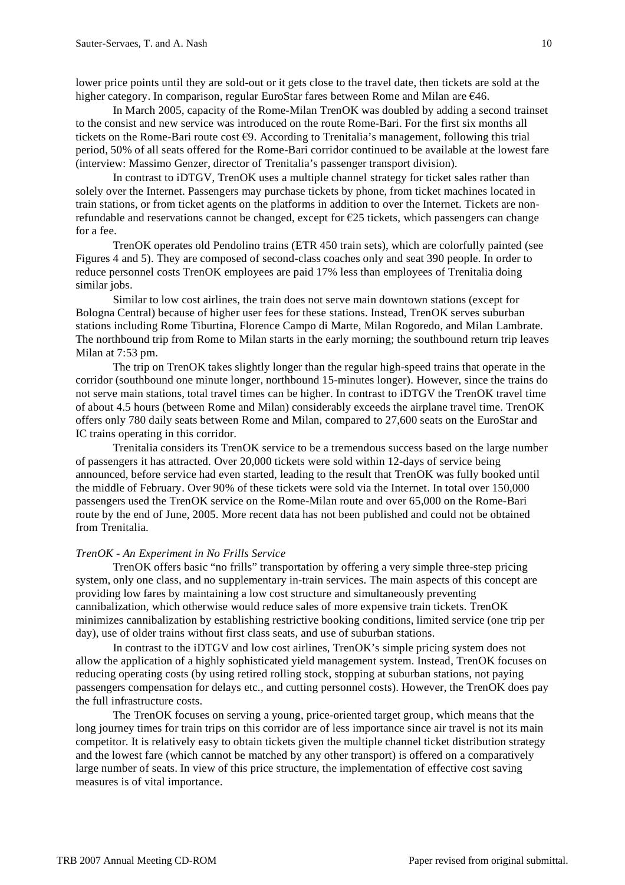lower price points until they are sold-out or it gets close to the travel date, then tickets are sold at the higher category. In comparison, regular EuroStar fares between Rome and Milan are €46.

In March 2005, capacity of the Rome-Milan TrenOK was doubled by adding a second trainset to the consist and new service was introduced on the route Rome-Bari. For the first six months all tickets on the Rome-Bari route cost  $\epsilon$ 9. According to Trenitalia's management, following this trial period, 50% of all seats offered for the Rome-Bari corridor continued to be available at the lowest fare (interview: Massimo Genzer, director of Trenitalia's passenger transport division).

In contrast to iDTGV, TrenOK uses a multiple channel strategy for ticket sales rather than solely over the Internet. Passengers may purchase tickets by phone, from ticket machines located in train stations, or from ticket agents on the platforms in addition to over the Internet. Tickets are nonrefundable and reservations cannot be changed, except for  $E25$  tickets, which passengers can change for a fee.

TrenOK operates old Pendolino trains (ETR 450 train sets), which are colorfully painted (see Figures 4 and 5). They are composed of second-class coaches only and seat 390 people. In order to reduce personnel costs TrenOK employees are paid 17% less than employees of Trenitalia doing similar jobs.

Similar to low cost airlines, the train does not serve main downtown stations (except for Bologna Central) because of higher user fees for these stations. Instead, TrenOK serves suburban stations including Rome Tiburtina, Florence Campo di Marte, Milan Rogoredo, and Milan Lambrate. The northbound trip from Rome to Milan starts in the early morning; the southbound return trip leaves Milan at 7:53 pm.

The trip on TrenOK takes slightly longer than the regular high-speed trains that operate in the corridor (southbound one minute longer, northbound 15-minutes longer). However, since the trains do not serve main stations, total travel times can be higher. In contrast to iDTGV the TrenOK travel time of about 4.5 hours (between Rome and Milan) considerably exceeds the airplane travel time. TrenOK offers only 780 daily seats between Rome and Milan, compared to 27,600 seats on the EuroStar and IC trains operating in this corridor.

Trenitalia considers its TrenOK service to be a tremendous success based on the large number of passengers it has attracted. Over 20,000 tickets were sold within 12-days of service being announced, before service had even started, leading to the result that TrenOK was fully booked until the middle of February. Over 90% of these tickets were sold via the Internet. In total over 150,000 passengers used the TrenOK service on the Rome-Milan route and over 65,000 on the Rome-Bari route by the end of June, 2005. More recent data has not been published and could not be obtained from Trenitalia.

### *TrenOK - An Experiment in No Frills Service*

TrenOK offers basic "no frills" transportation by offering a very simple three-step pricing system, only one class, and no supplementary in-train services. The main aspects of this concept are providing low fares by maintaining a low cost structure and simultaneously preventing cannibalization, which otherwise would reduce sales of more expensive train tickets. TrenOK minimizes cannibalization by establishing restrictive booking conditions, limited service (one trip per day), use of older trains without first class seats, and use of suburban stations.

In contrast to the iDTGV and low cost airlines, TrenOK's simple pricing system does not allow the application of a highly sophisticated yield management system. Instead, TrenOK focuses on reducing operating costs (by using retired rolling stock, stopping at suburban stations, not paying passengers compensation for delays etc., and cutting personnel costs). However, the TrenOK does pay the full infrastructure costs.

The TrenOK focuses on serving a young, price-oriented target group, which means that the long journey times for train trips on this corridor are of less importance since air travel is not its main competitor. It is relatively easy to obtain tickets given the multiple channel ticket distribution strategy and the lowest fare (which cannot be matched by any other transport) is offered on a comparatively large number of seats. In view of this price structure, the implementation of effective cost saving measures is of vital importance.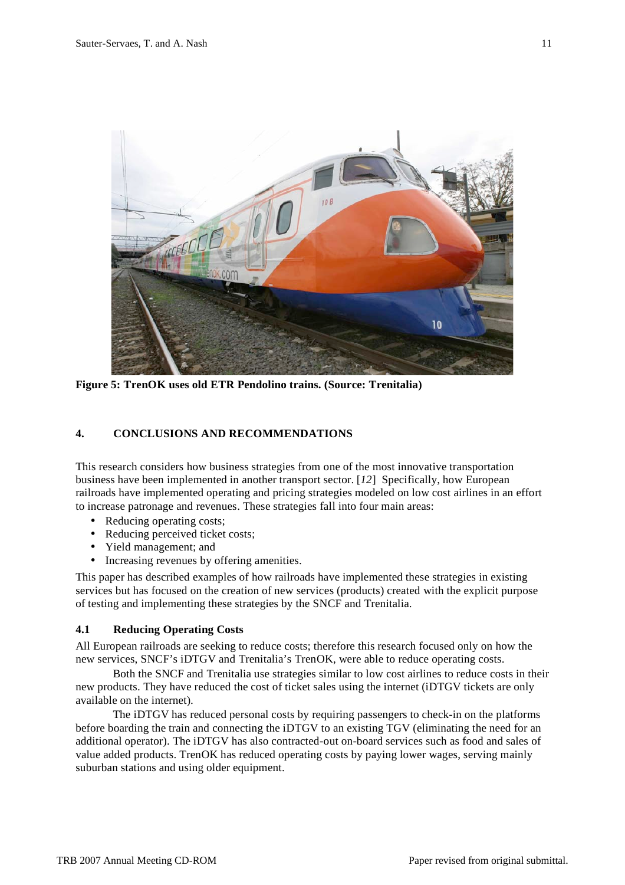

**Figure 5: TrenOK uses old ETR Pendolino trains. (Source: Trenitalia)**

# **4. CONCLUSIONS AND RECOMMENDATIONS**

This research considers how business strategies from one of the most innovative transportation business have been implemented in another transport sector. [*12*] Specifically, how European railroads have implemented operating and pricing strategies modeled on low cost airlines in an effort to increase patronage and revenues. These strategies fall into four main areas:

- Reducing operating costs;
- Reducing perceived ticket costs;
- Yield management; and
- Increasing revenues by offering amenities.

This paper has described examples of how railroads have implemented these strategies in existing services but has focused on the creation of new services (products) created with the explicit purpose of testing and implementing these strategies by the SNCF and Trenitalia.

### **4.1 Reducing Operating Costs**

All European railroads are seeking to reduce costs; therefore this research focused only on how the new services, SNCF's iDTGV and Trenitalia's TrenOK, were able to reduce operating costs.

Both the SNCF and Trenitalia use strategies similar to low cost airlines to reduce costs in their new products. They have reduced the cost of ticket sales using the internet (iDTGV tickets are only available on the internet).

The iDTGV has reduced personal costs by requiring passengers to check-in on the platforms before boarding the train and connecting the iDTGV to an existing TGV (eliminating the need for an additional operator). The iDTGV has also contracted-out on-board services such as food and sales of value added products. TrenOK has reduced operating costs by paying lower wages, serving mainly suburban stations and using older equipment.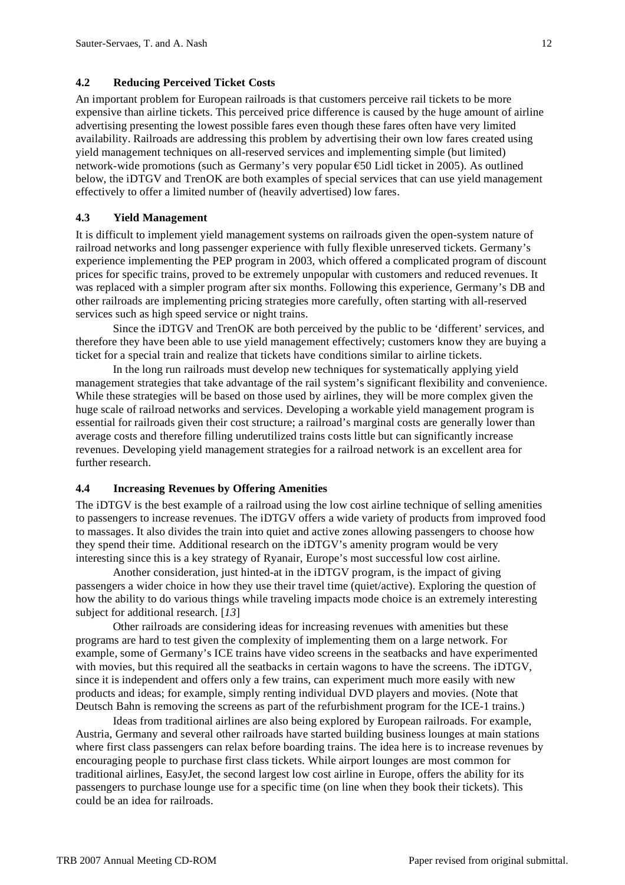## **4.2 Reducing Perceived Ticket Costs**

An important problem for European railroads is that customers perceive rail tickets to be more expensive than airline tickets. This perceived price difference is caused by the huge amount of airline advertising presenting the lowest possible fares even though these fares often have very limited availability. Railroads are addressing this problem by advertising their own low fares created using yield management techniques on all-reserved services and implementing simple (but limited) network-wide promotions (such as Germany's very popular  $\epsilon$ 50 Lidl ticket in 2005). As outlined below, the iDTGV and TrenOK are both examples of special services that can use yield management effectively to offer a limited number of (heavily advertised) low fares.

## **4.3 Yield Management**

It is difficult to implement yield management systems on railroads given the open-system nature of railroad networks and long passenger experience with fully flexible unreserved tickets. Germany's experience implementing the PEP program in 2003, which offered a complicated program of discount prices for specific trains, proved to be extremely unpopular with customers and reduced revenues. It was replaced with a simpler program after six months. Following this experience, Germany's DB and other railroads are implementing pricing strategies more carefully, often starting with all-reserved services such as high speed service or night trains.

Since the iDTGV and TrenOK are both perceived by the public to be 'different' services, and therefore they have been able to use yield management effectively; customers know they are buying a ticket for a special train and realize that tickets have conditions similar to airline tickets.

In the long run railroads must develop new techniques for systematically applying yield management strategies that take advantage of the rail system's significant flexibility and convenience. While these strategies will be based on those used by airlines, they will be more complex given the huge scale of railroad networks and services. Developing a workable yield management program is essential for railroads given their cost structure; a railroad's marginal costs are generally lower than average costs and therefore filling underutilized trains costs little but can significantly increase revenues. Developing yield management strategies for a railroad network is an excellent area for further research.

## **4.4 Increasing Revenues by Offering Amenities**

The iDTGV is the best example of a railroad using the low cost airline technique of selling amenities to passengers to increase revenues. The iDTGV offers a wide variety of products from improved food to massages. It also divides the train into quiet and active zones allowing passengers to choose how they spend their time. Additional research on the iDTGV's amenity program would be very interesting since this is a key strategy of Ryanair, Europe's most successful low cost airline.

Another consideration, just hinted-at in the iDTGV program, is the impact of giving passengers a wider choice in how they use their travel time (quiet/active). Exploring the question of how the ability to do various things while traveling impacts mode choice is an extremely interesting subject for additional research. [*13*]

Other railroads are considering ideas for increasing revenues with amenities but these programs are hard to test given the complexity of implementing them on a large network. For example, some of Germany's ICE trains have video screens in the seatbacks and have experimented with movies, but this required all the seatbacks in certain wagons to have the screens. The iDTGV, since it is independent and offers only a few trains, can experiment much more easily with new products and ideas; for example, simply renting individual DVD players and movies. (Note that Deutsch Bahn is removing the screens as part of the refurbishment program for the ICE-1 trains.)

Ideas from traditional airlines are also being explored by European railroads. For example, Austria, Germany and several other railroads have started building business lounges at main stations where first class passengers can relax before boarding trains. The idea here is to increase revenues by encouraging people to purchase first class tickets. While airport lounges are most common for traditional airlines, EasyJet, the second largest low cost airline in Europe, offers the ability for its passengers to purchase lounge use for a specific time (on line when they book their tickets). This could be an idea for railroads.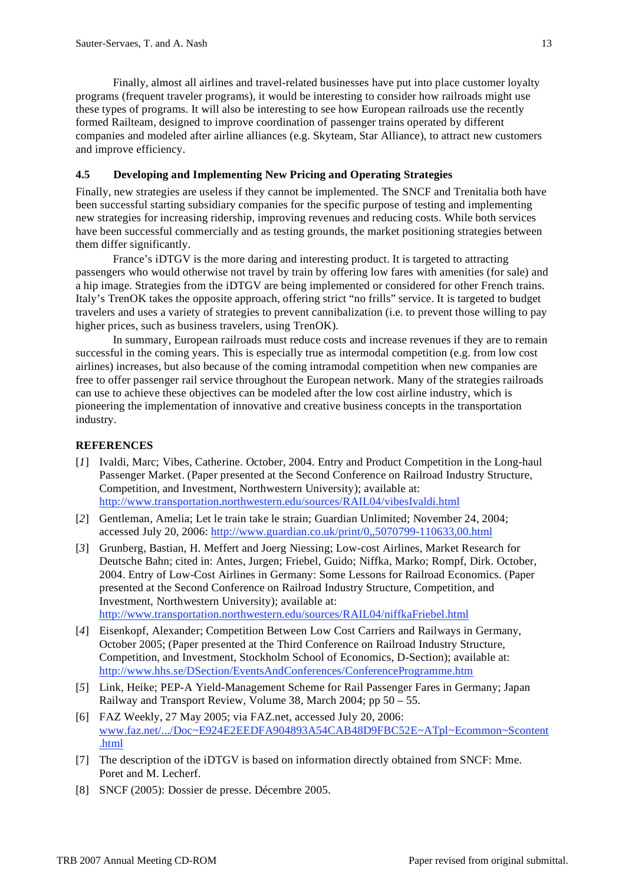Finally, almost all airlines and travel-related businesses have put into place customer loyalty programs (frequent traveler programs), it would be interesting to consider how railroads might use these types of programs. It will also be interesting to see how European railroads use the recently formed Railteam, designed to improve coordination of passenger trains operated by different companies and modeled after airline alliances (e.g. Skyteam, Star Alliance), to attract new customers and improve efficiency.

### **4.5 Developing and Implementing New Pricing and Operating Strategies**

Finally, new strategies are useless if they cannot be implemented. The SNCF and Trenitalia both have been successful starting subsidiary companies for the specific purpose of testing and implementing new strategies for increasing ridership, improving revenues and reducing costs. While both services have been successful commercially and as testing grounds, the market positioning strategies between them differ significantly.

France's iDTGV is the more daring and interesting product. It is targeted to attracting passengers who would otherwise not travel by train by offering low fares with amenities (for sale) and a hip image. Strategies from the iDTGV are being implemented or considered for other French trains. Italy's TrenOK takes the opposite approach, offering strict "no frills" service. It is targeted to budget travelers and uses a variety of strategies to prevent cannibalization (i.e. to prevent those willing to pay higher prices, such as business travelers, using TrenOK).

In summary, European railroads must reduce costs and increase revenues if they are to remain successful in the coming years. This is especially true as intermodal competition (e.g. from low cost airlines) increases, but also because of the coming intramodal competition when new companies are free to offer passenger rail service throughout the European network. Many of the strategies railroads can use to achieve these objectives can be modeled after the low cost airline industry, which is pioneering the implementation of innovative and creative business concepts in the transportation industry.

# **REFERENCES**

- [*1*] Ivaldi, Marc; Vibes, Catherine. October, 2004. Entry and Product Competition in the Long-haul Passenger Market. (Paper presented at the Second Conference on Railroad Industry Structure, Competition, and Investment, Northwestern University); available at: http://www.transportation.northwestern.edu/sources/RAIL04/vibesIvaldi.html
- [*2*] Gentleman, Amelia; Let le train take le strain; Guardian Unlimited; November 24, 2004; accessed July 20, 2006: http://www.guardian.co.uk/print/0,,5070799-110633,00.html
- [*3*] Grunberg, Bastian, H. Meffert and Joerg Niessing; Low-cost Airlines, Market Research for Deutsche Bahn; cited in: Antes, Jurgen; Friebel, Guido; Niffka, Marko; Rompf, Dirk. October, 2004. Entry of Low-Cost Airlines in Germany: Some Lessons for Railroad Economics. (Paper presented at the Second Conference on Railroad Industry Structure, Competition, and Investment, Northwestern University); available at: http://www.transportation.northwestern.edu/sources/RAIL04/niffkaFriebel.html
- [*4*] Eisenkopf, Alexander; Competition Between Low Cost Carriers and Railways in Germany, October 2005; (Paper presented at the Third Conference on Railroad Industry Structure, Competition, and Investment, Stockholm School of Economics, D-Section); available at: http://www.hhs.se/DSection/EventsAndConferences/ConferenceProgramme.htm
- [*5*] Link, Heike; PEP-A Yield-Management Scheme for Rail Passenger Fares in Germany; Japan Railway and Transport Review, Volume 38, March 2004; pp 50 – 55.
- [6] FAZ Weekly, 27 May 2005; via FAZ.net, accessed July 20, 2006: www.faz.net/.../Doc~E924E2EEDFA904893A54CAB48D9FBC52E~ATpl~Ecommon~Scontent .html
- [7] The description of the iDTGV is based on information directly obtained from SNCF: Mme. Poret and M. Lecherf.
- [8] SNCF (2005): Dossier de presse. Décembre 2005.